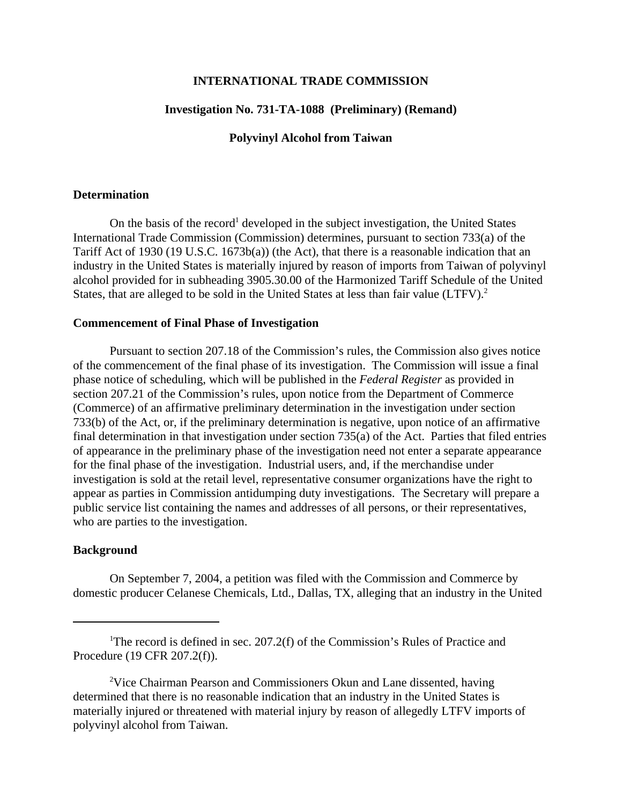## **INTERNATIONAL TRADE COMMISSION**

# **Investigation No. 731-TA-1088 (Preliminary) (Remand)**

## **Polyvinyl Alcohol from Taiwan**

#### **Determination**

On the basis of the record<sup>1</sup> developed in the subject investigation, the United States International Trade Commission (Commission) determines, pursuant to section 733(a) of the Tariff Act of 1930 (19 U.S.C. 1673b(a)) (the Act), that there is a reasonable indication that an industry in the United States is materially injured by reason of imports from Taiwan of polyvinyl alcohol provided for in subheading 3905.30.00 of the Harmonized Tariff Schedule of the United States, that are alleged to be sold in the United States at less than fair value (LTFV).<sup>2</sup>

#### **Commencement of Final Phase of Investigation**

Pursuant to section 207.18 of the Commission's rules, the Commission also gives notice of the commencement of the final phase of its investigation. The Commission will issue a final phase notice of scheduling, which will be published in the *Federal Register* as provided in section 207.21 of the Commission's rules, upon notice from the Department of Commerce (Commerce) of an affirmative preliminary determination in the investigation under section 733(b) of the Act, or, if the preliminary determination is negative, upon notice of an affirmative final determination in that investigation under section 735(a) of the Act. Parties that filed entries of appearance in the preliminary phase of the investigation need not enter a separate appearance for the final phase of the investigation. Industrial users, and, if the merchandise under investigation is sold at the retail level, representative consumer organizations have the right to appear as parties in Commission antidumping duty investigations. The Secretary will prepare a public service list containing the names and addresses of all persons, or their representatives, who are parties to the investigation.

## **Background**

On September 7, 2004, a petition was filed with the Commission and Commerce by domestic producer Celanese Chemicals, Ltd., Dallas, TX, alleging that an industry in the United

<sup>&</sup>lt;sup>1</sup>The record is defined in sec. 207.2(f) of the Commission's Rules of Practice and Procedure (19 CFR 207.2(f)).

<sup>&</sup>lt;sup>2</sup>Vice Chairman Pearson and Commissioners Okun and Lane dissented, having determined that there is no reasonable indication that an industry in the United States is materially injured or threatened with material injury by reason of allegedly LTFV imports of polyvinyl alcohol from Taiwan.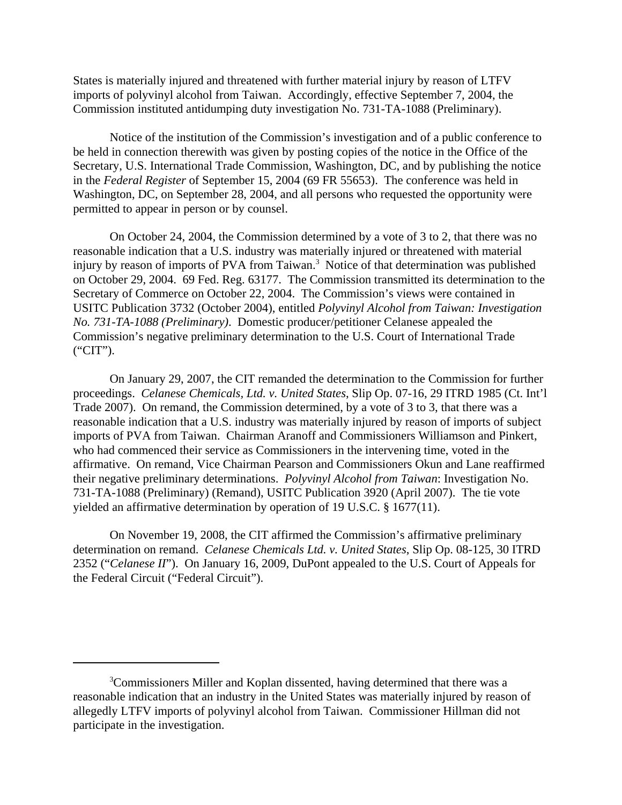States is materially injured and threatened with further material injury by reason of LTFV imports of polyvinyl alcohol from Taiwan. Accordingly, effective September 7, 2004, the Commission instituted antidumping duty investigation No. 731-TA-1088 (Preliminary).

Notice of the institution of the Commission's investigation and of a public conference to be held in connection therewith was given by posting copies of the notice in the Office of the Secretary, U.S. International Trade Commission, Washington, DC, and by publishing the notice in the *Federal Register* of September 15, 2004 (69 FR 55653). The conference was held in Washington, DC, on September 28, 2004, and all persons who requested the opportunity were permitted to appear in person or by counsel.

On October 24, 2004, the Commission determined by a vote of 3 to 2, that there was no reasonable indication that a U.S. industry was materially injured or threatened with material injury by reason of imports of PVA from Taiwan.<sup>3</sup> Notice of that determination was published on October 29, 2004. 69 Fed. Reg. 63177. The Commission transmitted its determination to the Secretary of Commerce on October 22, 2004. The Commission's views were contained in USITC Publication 3732 (October 2004), entitled *Polyvinyl Alcohol from Taiwan: Investigation No. 731-TA-1088 (Preliminary)*. Domestic producer/petitioner Celanese appealed the Commission's negative preliminary determination to the U.S. Court of International Trade ("CIT").

On January 29, 2007, the CIT remanded the determination to the Commission for further proceedings. *Celanese Chemicals, Ltd. v. United States*, Slip Op. 07-16, 29 ITRD 1985 (Ct. Int'l Trade 2007). On remand, the Commission determined, by a vote of 3 to 3, that there was a reasonable indication that a U.S. industry was materially injured by reason of imports of subject imports of PVA from Taiwan. Chairman Aranoff and Commissioners Williamson and Pinkert, who had commenced their service as Commissioners in the intervening time, voted in the affirmative. On remand, Vice Chairman Pearson and Commissioners Okun and Lane reaffirmed their negative preliminary determinations. *Polyvinyl Alcohol from Taiwan*: Investigation No. 731-TA-1088 (Preliminary) (Remand), USITC Publication 3920 (April 2007). The tie vote yielded an affirmative determination by operation of 19 U.S.C. § 1677(11).

On November 19, 2008, the CIT affirmed the Commission's affirmative preliminary determination on remand. *Celanese Chemicals Ltd. v. United States*, Slip Op. 08-125, 30 ITRD 2352 ("*Celanese II*"). On January 16, 2009, DuPont appealed to the U.S. Court of Appeals for the Federal Circuit ("Federal Circuit").

<sup>&</sup>lt;sup>3</sup>Commissioners Miller and Koplan dissented, having determined that there was a reasonable indication that an industry in the United States was materially injured by reason of allegedly LTFV imports of polyvinyl alcohol from Taiwan. Commissioner Hillman did not participate in the investigation.